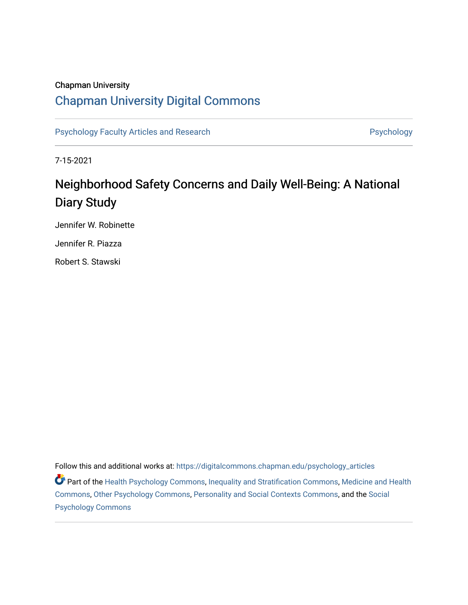## Chapman University

## [Chapman University Digital Commons](https://digitalcommons.chapman.edu/)

[Psychology Faculty Articles and Research](https://digitalcommons.chapman.edu/psychology_articles) **Psychology** Psychology

7-15-2021

# Neighborhood Safety Concerns and Daily Well-Being: A National Diary Study

Jennifer W. Robinette

Jennifer R. Piazza

Robert S. Stawski

Follow this and additional works at: [https://digitalcommons.chapman.edu/psychology\\_articles](https://digitalcommons.chapman.edu/psychology_articles?utm_source=digitalcommons.chapman.edu%2Fpsychology_articles%2F285&utm_medium=PDF&utm_campaign=PDFCoverPages)

**Part of the [Health Psychology Commons](http://network.bepress.com/hgg/discipline/411?utm_source=digitalcommons.chapman.edu%2Fpsychology_articles%2F285&utm_medium=PDF&utm_campaign=PDFCoverPages), [Inequality and Stratification Commons,](http://network.bepress.com/hgg/discipline/421?utm_source=digitalcommons.chapman.edu%2Fpsychology_articles%2F285&utm_medium=PDF&utm_campaign=PDFCoverPages) [Medicine and Health](http://network.bepress.com/hgg/discipline/422?utm_source=digitalcommons.chapman.edu%2Fpsychology_articles%2F285&utm_medium=PDF&utm_campaign=PDFCoverPages)** [Commons](http://network.bepress.com/hgg/discipline/422?utm_source=digitalcommons.chapman.edu%2Fpsychology_articles%2F285&utm_medium=PDF&utm_campaign=PDFCoverPages), [Other Psychology Commons](http://network.bepress.com/hgg/discipline/415?utm_source=digitalcommons.chapman.edu%2Fpsychology_articles%2F285&utm_medium=PDF&utm_campaign=PDFCoverPages), [Personality and Social Contexts Commons](http://network.bepress.com/hgg/discipline/413?utm_source=digitalcommons.chapman.edu%2Fpsychology_articles%2F285&utm_medium=PDF&utm_campaign=PDFCoverPages), and the [Social](http://network.bepress.com/hgg/discipline/414?utm_source=digitalcommons.chapman.edu%2Fpsychology_articles%2F285&utm_medium=PDF&utm_campaign=PDFCoverPages)  [Psychology Commons](http://network.bepress.com/hgg/discipline/414?utm_source=digitalcommons.chapman.edu%2Fpsychology_articles%2F285&utm_medium=PDF&utm_campaign=PDFCoverPages)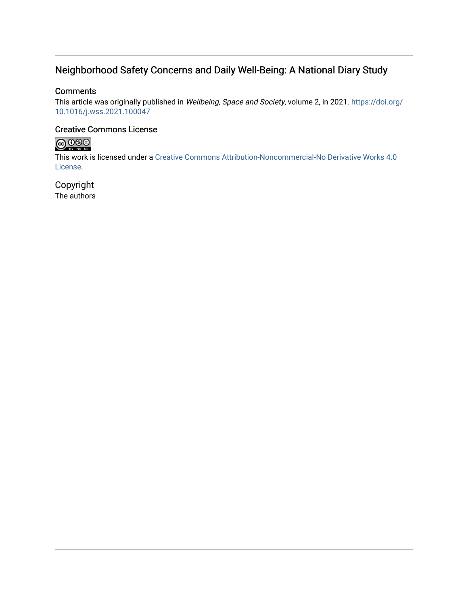## Neighborhood Safety Concerns and Daily Well-Being: A National Diary Study

## **Comments**

This article was originally published in Wellbeing, Space and Society, volume 2, in 2021. [https://doi.org/](https://doi.org/10.1016/j.wss.2021.100047) [10.1016/j.wss.2021.100047](https://doi.org/10.1016/j.wss.2021.100047) 

## Creative Commons License



This work is licensed under a [Creative Commons Attribution-Noncommercial-No Derivative Works 4.0](https://creativecommons.org/licenses/by-nc-nd/4.0/) [License](https://creativecommons.org/licenses/by-nc-nd/4.0/).

Copyright The authors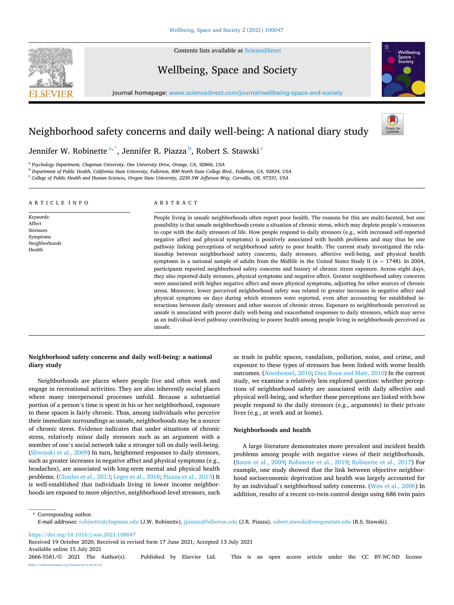

Contents lists available at [ScienceDirect](www.sciencedirect.com/science/journal/26665581)

Wellbeing, Space and Society



journal homepage: [www.sciencedirect.com/journal/wellbeing-space-and-society](https://www.sciencedirect.com/journal/wellbeing-space-and-society) 

## Neighborhood safety concerns and daily well-being: A national diary study



Jennifer W. Robinette $^{\mathrm{a},\mathrm{*}}$ , Jennifer R. Piazza $^{\mathrm{b}}$ , Robert S. Stawski $^{\mathrm{c}}$ 

<sup>a</sup> *Psychology Department, Chapman University, One University Drive, Orange, CA, 92866, USA* 

<sup>b</sup> *Department of Public Health, California State University, Fullerton, 800 North State College Blvd., Fullerton, CA, 92834, USA* 

<sup>c</sup> *College of Public Health and Human Sciences, Oregon State University, 2250 SW Jefferson Way, Corvallis, OR, 97331, USA* 

#### ARTICLE INFO

*Keywords:*  Affect Stressors Symptoms Neighborhoods Health

#### ABSTRACT

People living in unsafe neighborhoods often report poor health. The reasons for this are multi-faceted, but one possibility is that unsafe neighborhoods create a situation of chronic stress, which may deplete people's resources to cope with the daily stressors of life. How people respond to daily stressors (e.g., with increased self-reported negative affect and physical symptoms) is positively associated with health problems and may thus be one pathway linking perceptions of neighborhood safety to poor health. The current study investigated the relationship between neighborhood safety concerns, daily stressors, affective well-being, and physical health symptoms in a national sample of adults from the Midlife in the United States Study II (*n* = 1748). In 2004, participants reported neighborhood safety concerns and history of chronic stress exposure. Across eight days, they also reported daily stressors, physical symptoms and negative affect. Greater neighborhood safety concerns were associated with higher negative affect and more physical symptoms, adjusting for other sources of chronic stress. Moreover, lower perceived neighborhood safety was related to greater increases in negative affect and physical symptoms on days during which stressors were reported, even after accounting for established interactions between daily stressors and other sources of chronic stress. Exposure to neighborhoods perceived as unsafe is associated with poorer daily well-being and exacerbated responses to daily stressors, which may serve as an individual-level pathway contributing to poorer health among people living in neighborhoods perceived as unsafe.

#### **Neighborhood safety concerns and daily well-being: a national diary study**

Neighborhoods are places where people live and often work and engage in recreational activities. They are also inherently social places where many interpersonal processes unfold. Because a substantial portion of a person's time is spent in his or her neighborhood, exposure to these spaces is fairly chronic. Thus, among individuals who perceive their immediate surroundings as unsafe, neighborhoods may be a source of chronic stress. Evidence indicates that under situations of chronic stress, relatively minor daily stressors such as an argument with a member of one's social network take a stronger toll on daily well-being. ([Sliwinski et al., 2009](#page-8-0)) In turn, heightened responses to daily stressors, such as greater increases in negative affect and physical symptoms (e.g., headaches), are associated with long-term mental and physical health problems. [\(Charles et al., 2013](#page-8-0); [Leger et al., 2016](#page-8-0); [Piazza et al., 2013](#page-8-0)) It is well-established that individuals living in lower income neighborhoods are exposed to more objective, neighborhood-level stressors, such

as trash in public spaces, vandalism, pollution, noise, and crime, and exposure to these types of stressors has been linked with worse health outcomes. [\(Aneshensel, 2010; Diez Roux and Mair, 2010\)](#page-8-0) In the current study, we examine a relatively less explored question: whether perceptions of neighborhood safety are associated with daily affective and physical well-being, and whether these perceptions are linked with how people respond to the daily stressors (e.g., arguments) in their private lives (e.g., at work and at home).

#### **Neighborhoods and health**

A large literature demonstrates more prevalent and incident health problems among people with negative views of their neighborhoods. ([Baum et al., 2009;](#page-8-0) [Robinette et al., 2019;](#page-8-0) [Robinette et al., 2017](#page-8-0)) For example, one study showed that the link between objective neighborhood socioeconomic deprivation and health was largely accounted for by an individual's neighborhood safety concerns. [\(Wen et al., 2006](#page-8-0)) In addition, results of a recent co-twin control design using 686 twin pairs

\* Corresponding author. *E-mail addresses:* [robinette@chapman.edu](mailto:robinette@chapman.edu) (J.W. Robinette), [jpiazza@fullerton.edu](mailto:jpiazza@fullerton.edu) (J.R. Piazza), [robert.stawski@oregonstate.edu](mailto:robert.stawski@oregonstate.edu) (R.S. Stawski).

<https://doi.org/10.1016/j.wss.2021.100047>

Available online 15 July 2021 Received 19 October 2020; Received in revised form 17 June 2021; Accepted 13 July 2021

2666-5581/© 2021 The Author(s). Published by Elsevier Ltd. This is an open access article under the CC BY-NC-ND license [\(http://creativecommons.org/licenses/by-nc-nd/4.0/\)](http://creativecommons.org/licenses/by-nc-nd/4.0/).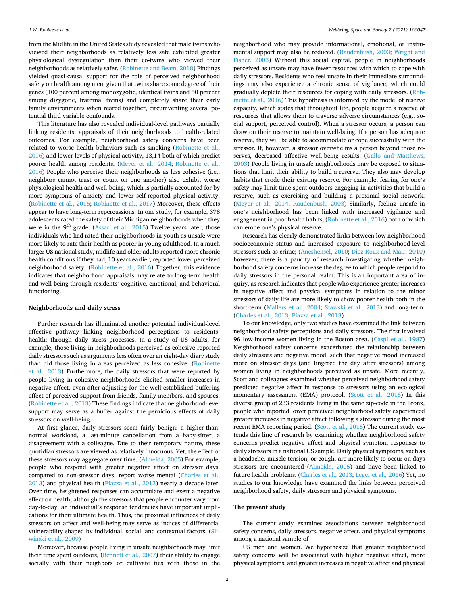from the Midlife in the United States study revealed that male twins who viewed their neighborhoods as relatively less safe exhibited greater physiological dysregulation than their co-twins who viewed their neighborhoods as relatively safer. ([Robinette and Beam, 2018\)](#page-8-0) Findings yielded quasi-causal support for the role of perceived neighborhood safety on health among men, given that twins share some degree of their genes (100 percent among monozygotic, identical twins and 50 percent among dizygotic, fraternal twins) and completely share their early family environments when reared together, circumventing several potential third variable confounds.

This literature has also revealed individual-level pathways partially linking residents' appraisals of their neighborhoods to health-related outcomes. For example, neighborhood safety concerns have been related to worse health behaviors such as smoking [\(Robinette et al.,](#page-8-0)  [2016\)](#page-8-0) and lower levels of physical activity, 13,14 both of which predict poorer health among residents. [\(Meyer et al., 2014;](#page-8-0) [Robinette et al.,](#page-8-0)  [2016\)](#page-8-0) People who perceive their neighborhoods as less cohesive (i.e., neighbors cannot trust or count on one another) also exhibit worse physiological health and well-being, which is partially accounted for by more symptoms of anxiety and lower self-reported physical activity. ([Robinette et al., 2016](#page-8-0); [Robinette et al., 2017\)](#page-8-0) Moreover, these effects appear to have long-term repercussions. In one study, for example, 378 adolescents rated the safety of their Michigan neighborhoods when they were in the  $9<sup>th</sup>$  grade. ([Assari et al., 2015](#page-8-0)) Twelve years later, those individuals who had rated their neighborhoods in youth as unsafe were more likely to rate their health as poorer in young adulthood. In a much larger US national study, midlife and older adults reported more chronic health conditions if they had, 10 years earlier, reported lower perceived neighborhood safety. [\(Robinette et al., 2016](#page-8-0)) Together, this evidence indicates that neighborhood appraisals may relate to long-term health and well-being through residents' cognitive, emotional, and behavioral functioning.

#### **Neighborhoods and daily stress**

Further research has illuminated another potential individual-level affective pathway linking neighborhood perceptions to residents' health: through daily stress processes. In a study of US adults, for example, those living in neighborhoods perceived as cohesive reported daily stressors such as arguments less often over an eight-day diary study than did those living in areas perceived as less cohesive. ([Robinette](#page-8-0)  [et al., 2013\)](#page-8-0) Furthermore, the daily stressors that were reported by people living in cohesive neighborhoods elicited smaller increases in negative affect, even after adjusting for the well-established buffering effect of perceived support from friends, family members, and spouses. ([Robinette et al., 2013](#page-8-0)) These findings indicate that neighborhood-level support may serve as a buffer against the pernicious effects of daily stressors on well-being.

At first glance, daily stressors seem fairly benign: a higher-thannormal workload, a last-minute cancellation from a baby-sitter, a disagreement with a colleague. Due to their temporary nature, these quotidian stressors are viewed as relatively innocuous. Yet, the effect of these stressors may aggregate over time. ([Almeida, 2005\)](#page-8-0) For example, people who respond with greater negative affect on stressor days, compared to non-stressor days, report worse mental [\(Charles et al.,](#page-8-0)  [2013\)](#page-8-0) and physical health ([Piazza et al., 2013\)](#page-8-0) nearly a decade later. Over time, heightened responses can accumulate and exert a negative effect on health; although the stressors that people encounter vary from day-to-day, an individual's response tendencies have important implications for their ultimate health. Thus, the proximal influences of daily stressors on affect and well-being may serve as indices of differential vulnerability shaped by individual, social, and contextual factors. [\(Sli](#page-8-0)[winski et al., 2009](#page-8-0))

Moreover, because people living in unsafe neighborhoods may limit their time spent outdoors, ([Bennett et al., 2007\)](#page-8-0) their ability to engage socially with their neighbors or cultivate ties with those in the

neighborhood who may provide informational, emotional, or instrumental support may also be reduced. ([Raudenbush, 2003](#page-8-0); [Wright and](#page-8-0)  [Fisher, 2003\)](#page-8-0) Without this social capital, people in neighborhoods perceived as unsafe may have fewer resources with which to cope with daily stressors. Residents who feel unsafe in their immediate surroundings may also experience a chronic sense of vigilance, which could gradually deplete their resources for coping with daily stressors. [\(Rob](#page-8-0)[inette et al., 2016](#page-8-0)) This hypothesis is informed by the model of reserve capacity, which states that throughout life, people acquire a reserve of resources that allows them to traverse adverse circumstances (e.g., social support, perceived control). When a stressor occurs, a person can draw on their reserve to maintain well-being. If a person has adequate reserve, they will be able to accommodate or cope successfully with the stressor. If, however, a stressor overwhelms a person beyond those reserves, decreased affective well-being results. [\(Gallo and Matthews,](#page-9-0)  [2003\)](#page-9-0) People living in unsafe neighborhoods may be exposed to situations that limit their ability to build a reserve. They also may develop habits that erode their existing reserve. For example, fearing for one's safety may limit time spent outdoors engaging in activities that build a reserve, such as exercising and building a proximal social network. ([Meyer et al., 2014](#page-8-0); [Raudenbush, 2003\)](#page-8-0) Similarly, feeling unsafe in one's neighborhood has been linked with increased vigilance and engagement in poor health habits, [\(Robinette et al., 2016\)](#page-8-0) both of which can erode one's physical reserve.

Research has clearly demonstrated links between low neighborhood socioeconomic status and increased exposure to neighborhood-level stressors such as crime; ([Aneshensel, 2010; Diez Roux and Mair, 2010\)](#page-8-0) however, there is a paucity of research investigating whether neighborhood safety concerns increase the degree to which people respond to daily stressors in the personal realm. This is an important area of inquiry, as research indicates that people who experience greater increases in negative affect and physical symptoms in relation to the minor stressors of daily life are more likely to show poorer health both in the short-term ([Mallers et al., 2004;](#page-9-0) [Stawski et al., 2013](#page-9-0)) and long-term. ([Charles et al., 2013](#page-8-0); [Piazza et al., 2013](#page-8-0))

To our knowledge, only two studies have examined the link between neighborhood safety perceptions and daily stressors. The first involved 96 low-income women living in the Boston area. ([Caspi et al., 1987\)](#page-9-0) Neighborhood safety concerns exacerbated the relationship between daily stressors and negative mood, such that negative mood increased more on stressor days (and lingered the day after stressors) among women living in neighborhoods perceived as unsafe. More recently, Scott and colleagues examined whether perceived neighborhood safety predicted negative affect in response to stressors using an ecological momentary assessment (EMA) protocol. [\(Scott et al., 2018](#page-9-0)) In this diverse group of 233 residents living in the same zip-code in the Bronx, people who reported lower perceived neighborhood safety experienced greater increases in negative affect following a stressor during the most recent EMA reporting period. ([Scott et al., 2018](#page-9-0)) The current study extends this line of research by examining whether neighborhood safety concerns predict negative affect and physical symptom responses to daily stressors in a national US sample. Daily physical symptoms, such as a headache, muscle tension, or cough, are more likely to occur on days stressors are encountered ([Almeida, 2005](#page-8-0)) and have been linked to future health problems. [\(Charles et al., 2013](#page-8-0); [Leger et al., 2016\)](#page-8-0) Yet, no studies to our knowledge have examined the links between perceived neighborhood safety, daily stressors and physical symptoms.

#### **The present study**

The current study examines associations between neighborhood safety concerns, daily stressors, negative affect, and physical symptoms among a national sample of

US men and women. We hypothesize that greater neighborhood safety concerns will be associated with higher negative affect, more physical symptoms, and greater increases in negative affect and physical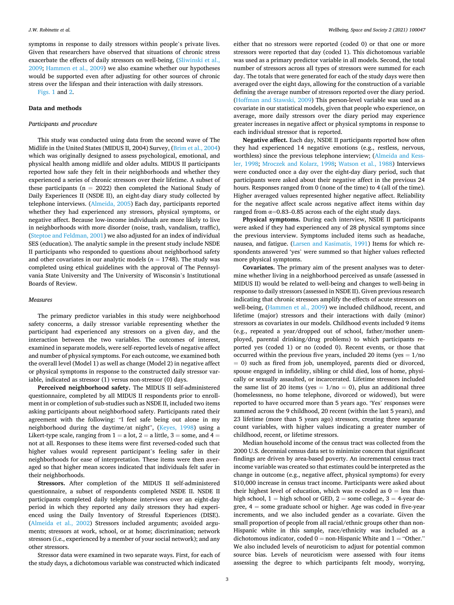symptoms in response to daily stressors within people's private lives. Given that researchers have observed that situations of chronic stress exacerbate the effects of daily stressors on well-being, [\(Sliwinski et al.,](#page-8-0)  [2009;](#page-8-0) [Hammen et al., 2009\)](#page-9-0) we also examine whether our hypotheses would be supported even after adjusting for other sources of chronic stress over the lifespan and their interaction with daily stressors.

[Figs. 1](#page-6-0) and [2](#page-8-0).

#### **Data and methods**

#### *Participants and procedure*

This study was conducted using data from the second wave of The Midlife in the United States (MIDUS II, 2004) Survey, ([Brim et al., 2004\)](#page-9-0) which was originally designed to assess psychological, emotional, and physical health among midlife and older adults. MIDUS II participants reported how safe they felt in their neighborhoods and whether they experienced a series of chronic stressors over their lifetime. A subset of these participants ( $n = 2022$ ) then completed the National Study of Daily Experiences II (NSDE II), an eight-day diary study collected by telephone interviews. [\(Almeida, 2005](#page-8-0)) Each day, participants reported whether they had experienced any stressors, physical symptoms, or negative affect. Because low-income individuals are more likely to live in neighborhoods with more disorder (noise, trash, vandalism, traffic), ([Steptoe and Feldman, 2001](#page-9-0)) we also adjusted for an index of individual SES (education). The analytic sample in the present study include NSDE II participants who responded to questions about neighborhood safety and other covariates in our analytic models ( $n = 1748$ ). The study was completed using ethical guidelines with the approval of The Pennsylvania State University and The University of Wisconsin's Institutional Boards of Review.

#### *Measures*

The primary predictor variables in this study were neighborhood safety concerns, a daily stressor variable representing whether the participant had experienced any stressors on a given day, and the interaction between the two variables. The outcomes of interest, examined in separate models, were self-reported levels of negative affect and number of physical symptoms. For each outcome, we examined both the overall level (Model 1) as well as change (Model 2) in negative affect or physical symptoms in response to the constructed daily stressor variable, indicated as stressor (1) versus non-stressor (0) days.

**Perceived neighborhood safety.** The MIDUS II self-administered questionnaire, completed by all MIDUS II respondents prior to enrollment in or completion of sub-studies such as NSDE II, included two items asking participants about neighborhood safety. Participants rated their agreement with the following: "I feel safe being out alone in my neighborhood during the daytime/at night", [\(Keyes, 1998](#page-9-0)) using a Likert-type scale, ranging from  $1 = a$  lot,  $2 = a$  little,  $3 =$ some, and  $4 =$ not at all. Responses to these items were first reversed-coded such that higher values would represent participant's feeling safer in their neighborhoods for ease of interpretation. These items were then averaged so that higher mean scores indicated that individuals felt safer in their neighborhoods.

**Stressors.** After completion of the MIDUS II self-administered questionnaire, a subset of respondents completed NSDE II. NSDE II participants completed daily telephone interviews over an eight-day period in which they reported any daily stressors they had experienced using the Daily Inventory of Stressful Experiences (DISE). ([Almeida et al., 2002\)](#page-9-0) Stressors included arguments; avoided arguments; stressors at work, school, or at home; discrimination; network stressors (i.e., experienced by a member of your social network); and any other stressors.

Stressor data were examined in two separate ways. First, for each of the study days, a dichotomous variable was constructed which indicated

either that no stressors were reported (coded 0) or that one or more stressors were reported that day (coded 1). This dichotomous variable was used as a primary predictor variable in all models. Second, the total number of stressors across all types of stressors were summed for each day. The totals that were generated for each of the study days were then averaged over the eight days, allowing for the construction of a variable defining the average number of stressors reported over the diary period. ([Hoffman and Stawski, 2009\)](#page-9-0) This person-level variable was used as a covariate in our statistical models, given that people who experience, on average, more daily stressors over the diary period may experience greater increases in negative affect or physical symptoms in response to each individual stressor that is reported.

**Negative affect.** Each day, NSDE II participants reported how often they had experienced 14 negative emotions (e.g., restless, nervous, worthless) since the previous telephone interview; ([Almeida and Kess](#page-9-0)[ler, 1998](#page-9-0); [Mroczek and Kolarz, 1998](#page-9-0); [Watson et al., 1988\)](#page-9-0) Interviews were conducted once a day over the eight-day diary period, such that participants were asked about their negative affect in the previous 24 hours. Responses ranged from 0 (none of the time) to 4 (all of the time). Higher averaged values represented higher negative affect. Reliability for the negative affect scale across negative affect items within day ranged from  $\alpha$ =0.83–0.85 across each of the eight study days.

**Physical symptoms.** During each interview, NSDE II participants were asked if they had experienced any of 28 physical symptoms since the previous interview. Symptoms included items such as headache, nausea, and fatigue. [\(Larsen and Kasimatis, 1991\)](#page-9-0) Items for which respondents answered 'yes' were summed so that higher values reflected more physical symptoms.

**Covariates.** The primary aim of the present analyses was to determine whether living in a neighborhood perceived as unsafe (assessed in MIDUS II) would be related to well-being and changes to well-being in response to daily stressors (assessed in NSDE II). Given previous research indicating that chronic stressors amplify the effects of acute stressors on well-being, [\(Hammen et al., 2009](#page-9-0)) we included childhood, recent, and lifetime (major) stressors and their interactions with daily (minor) stressors as covariates in our models. Childhood events included 9 items (e.g., repeated a year/dropped out of school, father/mother unemployed, parental drinking/drug problems) to which participants reported yes (coded 1) or no (coded 0). Recent events, or those that occurred within the previous five years, included 20 items (yes  $= 1/no$  $= 0$ ) such as fired from job, unemployed, parents died or divorced, spouse engaged in infidelity, sibling or child died, loss of home, physically or sexually assaulted, or incarcerated. Lifetime stressors included the same list of 20 items (yes =  $1/no = 0$ ), plus an additional three (homelessness, no home telephone, divorced or widowed), but were reported to have occurred more than 5 years ago. 'Yes' responses were summed across the 9 childhood, 20 recent (within the last 5 years), and 23 lifetime (more than 5 years ago) stressors, creating three separate count variables, with higher values indicating a greater number of childhood, recent, or lifetime stressors.

Median household income of the census tract was collected from the 2000 U.S. decennial census data set to minimize concern that significant findings are driven by area-based poverty. An incremental census tract income variable was created so that estimates could be interpreted as the change in outcome (e.g., negative affect, physical symptoms) for every \$10,000 increase in census tract income. Participants were asked about their highest level of education, which was re-coded as  $0 =$  less than high school,  $1 =$  high school or GED,  $2 =$  some college,  $3 = 4$ -year degree,  $4 =$  some graduate school or higher. Age was coded in five-year increments, and we also included gender as a covariate. Given the small proportion of people from all racial/ethnic groups other than non-Hispanic white in this sample, race/ethnicity was included as a dichotomous indicator, coded  $0 =$  non-Hispanic White and  $1 =$  "Other." We also included levels of neuroticism to adjust for potential common source bias. Levels of neuroticism were assessed with four items assessing the degree to which participants felt moody, worrying,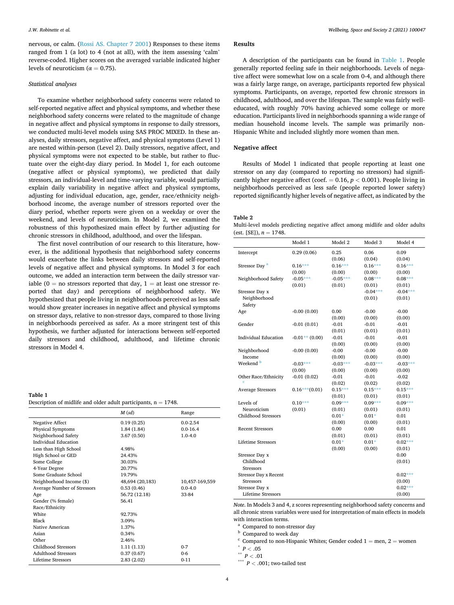<span id="page-5-0"></span>nervous, or calm. ([Rossi AS. Chapter 7 2001](#page-9-0)) Responses to these items ranged from 1 (a lot) to 4 (not at all), with the item assessing 'calm' reverse-coded. Higher scores on the averaged variable indicated higher levels of neuroticism ( $\alpha = 0.75$ ).

#### *Statistical analyses*

To examine whether neighborhood safety concerns were related to self-reported negative affect and physical symptoms, and whether these neighborhood safety concerns were related to the magnitude of change in negative affect and physical symptoms in response to daily stressors, we conducted multi-level models using SAS PROC MIXED. In these analyses, daily stressors, negative affect, and physical symptoms (Level 1) are nested within-person (Level 2). Daily stressors, negative affect, and physical symptoms were not expected to be stable, but rather to fluctuate over the eight-day diary period. In Model 1, for each outcome (negative affect or physical symptoms), we predicted that daily stressors, an individual-level and time-varying variable, would partially explain daily variability in negative affect and physical symptoms, adjusting for individual education, age, gender, race/ethnicity neighborhood income, the average number of stressors reported over the diary period, whether reports were given on a weekday or over the weekend, and levels of neuroticism. In Model 2, we examined the robustness of this hypothesized main effect by further adjusting for chronic stressors in childhood, adulthood, and over the lifespan.

The first novel contribution of our research to this literature, however, is the additional hypothesis that neighborhood safety concerns would exacerbate the links between daily stressors and self-reported levels of negative affect and physical symptoms. In Model 3 for each outcome, we added an interaction term between the daily stressor variable ( $0 =$  no stressors reported that day,  $1 =$  at least one stressor reported that day) and perceptions of neighborhood safety. We hypothesized that people living in neighborhoods perceived as less safe would show greater increases in negative affect and physical symptoms on stressor days, relative to non-stressor days, compared to those living in neighborhoods perceived as safer. As a more stringent test of this hypothesis, we further adjusted for interactions between self-reported daily stressors and childhood, adulthood, and lifetime chronic stressors in Model 4.

#### **Table 1**

| Description of midlife and older adult participants, $n = 1748$ . |  |
|-------------------------------------------------------------------|--|
|-------------------------------------------------------------------|--|

|                             | $M$ (sd)        | Range          |
|-----------------------------|-----------------|----------------|
| Negative Affect             | 0.19(0.25)      | $0.0 - 2.54$   |
| Physical Symptoms           | 1.84(1.84)      | $0.0 - 16.4$   |
| Neighborhood Safety         | 3.67(0.50)      | $1.0 - 4.0$    |
| Individual Education        |                 |                |
| Less than High School       | 4.98%           |                |
| High School or GED          | 24.43%          |                |
| Some College                | 30.03%          |                |
| 4-Year Degree               | 20.77%          |                |
| Some Graduate School        | 19.79%          |                |
| Neighborhood Income (\$)    | 48,694 (20,183) | 10,457-169,559 |
| Average Number of Stressors | 0.53(0.46)      | $0.0 - 4.0$    |
| Age                         | 56.72 (12.18)   | 33-84          |
| Gender (% female)           | 56.41           |                |
| Race/Ethnicity              |                 |                |
| <b>White</b>                | 92.73%          |                |
| Black                       | 3.09%           |                |
| Native American             | 1.37%           |                |
| Asian                       | 0.34%           |                |
| Other                       | 2.46%           |                |
| Childhood Stressors         | 1.11(1.13)      | $0 - 7$        |
| <b>Adulthood Stressors</b>  | 0.37(0.67)      | $0 - 6$        |
| Lifetime Stressors          | 2.83(2.02)      | $0 - 11$       |

### **Results**

A description of the participants can be found in Table 1. People generally reported feeling safe in their neighborhoods. Levels of negative affect were somewhat low on a scale from 0-4, and although there was a fairly large range, on average, participants reported few physical symptoms. Participants, on average, reported few chronic stressors in childhood, adulthood, and over the lifespan. The sample was fairly welleducated, with roughly 70% having achieved some college or more education. Participants lived in neighborhoods spanning a wide range of median household income levels. The sample was primarily non-Hispanic White and included slightly more women than men.

#### **Negative affect**

Results of Model 1 indicated that people reporting at least one stressor on any day (compared to reporting no stressors) had significantly higher negative affect (coef.  $= 0.16$ ,  $p < 0.001$ ). People living in neighborhoods perceived as less safe (people reported lower safety) reported significantly higher levels of negative affect, as indicated by the

#### **Table 2**

Multi-level models predicting negative affect among midlife and older adults (est. [SE]),  $n = 1748$ .

|                              | Model 1          | Model 2    | Model 3    | Model 4    |
|------------------------------|------------------|------------|------------|------------|
| Intercept                    | 0.29(0.06)       | 0.25       | 0.06       | 0.09       |
|                              |                  | (0.06)     | (0.04)     | (0.04)     |
| Stressor Day <sup>a</sup>    | $0.16***$        | $0.16***$  | $0.16***$  | $0.16***$  |
|                              | (0.00)           | (0.00)     | (0.00)     | (0.00)     |
| Neighborhood Safety          | $-0.05***$       | $-0.05***$ | $0.08***$  | $0.08***$  |
|                              | (0.01)           | (0.01)     | (0.01)     | (0.01)     |
| Stressor Day x               |                  |            | $-0.04***$ | $-0.04***$ |
| Neighborhood<br>Safety       |                  |            | (0.01)     | (0.01)     |
| Age                          | $-0.00(0.00)$    | 0.00       | $-0.00$    | $-0.00$    |
|                              |                  | (0.00)     | (0.00)     | (0.00)     |
| Gender                       | $-0.01(0.01)$    | $-0.01$    | $-0.01$    | $-0.01$    |
|                              |                  | (0.01)     | (0.01)     | (0.01)     |
| <b>Individual Education</b>  | $-0.01**$ (0.00) | $-0.01$    | $-0.01$    | $-0.01$    |
|                              |                  | (0.00)     | (0.00)     | (0.00)     |
| Neighborhood                 | $-0.00(0.00)$    | $-0.00$    | $-0.00$    | $-0.00$    |
| Income                       |                  | (0.00)     | (0.00)     | (0.00)     |
| Weekend <sup>b</sup>         | $-0.03***$       | $-0.03***$ | $-0.03***$ | $-0.03***$ |
|                              | (0.00)           | (0.00)     | (0.00)     | (0.00)     |
| Other Race/Ethnicity         | $-0.01(0.02)$    | $-0.01$    | $-0.01$    | $-0.02$    |
|                              |                  | (0.02)     | (0.02)     | (0.02)     |
| <b>Average Stressors</b>     | $0.16***(0.01)$  | $0.15***$  | $0.15***$  | $0.15***$  |
|                              |                  | (0.01)     | (0.01)     | (0.01)     |
| Levels of                    | $0.10***$        | $0.09***$  | $0.09***$  | $0.09***$  |
| Neuroticism                  | (0.01)           | (0.01)     | (0.01)     | (0.01)     |
| Childhood Stressors          |                  | $0.01*$    | $0.01*$    | 0.01       |
|                              |                  | (0.00)     | (0.00)     | (0.01)     |
| <b>Recent Stressors</b>      |                  | 0.00       | 0.00       | 0.01       |
|                              |                  | (0.01)     | (0.01)     | (0.01)     |
| <b>Lifetime Stressors</b>    |                  | $0.01*$    | $0.01*$    | $0.02***$  |
|                              |                  | (0.00)     | (0.00)     | (0.01)     |
| Stressor Day x               |                  |            |            | 0.00       |
| Childhood                    |                  |            |            | (0.01)     |
| <b>Stressors</b>             |                  |            |            |            |
| <b>Stressor Day x Recent</b> |                  |            |            | $0.02***$  |
| <b>Stressors</b>             |                  |            |            | (0.00)     |
| Stressor Day x               |                  |            |            | $0.02***$  |
| <b>Lifetime Stressors</b>    |                  |            |            | (0.00)     |

*Note*. In Models 3 and 4, z scores representing neighborhood safety concerns and all chronic stress variables were used for interpretation of main effects in models with interaction terms.<br>
<sup>a</sup> Compared to non-stressor day<br>
<sup>b</sup> Compared to week day<br>
<sup>c</sup> Compared to non-Hispanic Whites; Gender coded 1 = men, 2 = women<br>
<sup>\*</sup>  $P < .05$ <br>
\*\*  $P < .01$ <br>
\*\*\*  $P < .001$ ; two-tailed test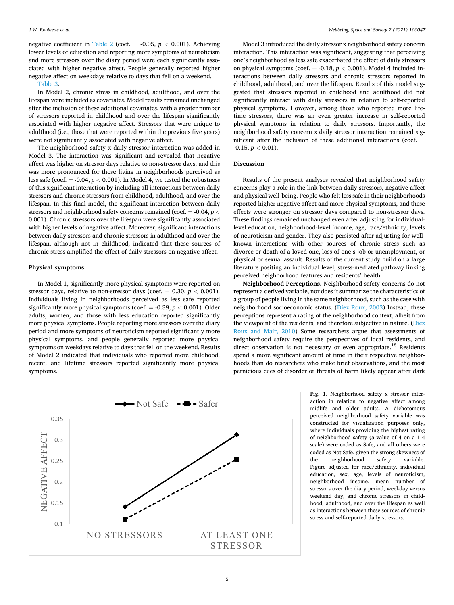<span id="page-6-0"></span>negative coefficient in [Table 2](#page-5-0) (coef.  $= -0.05$ ,  $p < 0.001$ ). Achieving lower levels of education and reporting more symptoms of neuroticism and more stressors over the diary period were each significantly associated with higher negative affect. People generally reported higher negative affect on weekdays relative to days that fell on a weekend.

#### [Table 3.](#page-7-0)

In Model 2, chronic stress in childhood, adulthood, and over the lifespan were included as covariates. Model results remained unchanged after the inclusion of these additional covariates, with a greater number of stressors reported in childhood and over the lifespan significantly associated with higher negative affect. Stressors that were unique to adulthood (i.e., those that were reported within the previous five years) were not significantly associated with negative affect.

The neighborhood safety x daily stressor interaction was added in Model 3. The interaction was significant and revealed that negative affect was higher on stressor days relative to non-stressor days, and this was more pronounced for those living in neighborhoods perceived as less safe (coef.  $= -0.04$ ,  $p < 0.001$ ). In Model 4, we tested the robustness of this significant interaction by including all interactions between daily stressors and chronic stressors from childhood, adulthood, and over the lifespan. In this final model, the significant interaction between daily stressors and neighborhood safety concerns remained (coef. = -0.04, *p <* 0.001). Chronic stressors over the lifespan were significantly associated with higher levels of negative affect. Moreover, significant interactions between daily stressors and chronic stressors in adulthood and over the lifespan, although not in childhood, indicated that these sources of chronic stress amplified the effect of daily stressors on negative affect.

#### **Physical symptoms**

In Model 1, significantly more physical symptoms were reported on stressor days, relative to non-stressor days (coef.  $= 0.30, p < 0.001$ ). Individuals living in neighborhoods perceived as less safe reported significantly more physical symptoms (coef. = -0.39, *p <* 0.001). Older adults, women, and those with less education reported significantly more physical symptoms. People reporting more stressors over the diary period and more symptoms of neuroticism reported significantly more physical symptoms, and people generally reported more physical symptoms on weekdays relative to days that fell on the weekend. Results of Model 2 indicated that individuals who reported more childhood, recent, and lifetime stressors reported significantly more physical symptoms.

Model 3 introduced the daily stressor x neighborhood safety concern interaction. This interaction was significant, suggesting that perceiving one's neighborhood as less safe exacerbated the effect of daily stressors on physical symptoms (coef.  $= -0.18$ ,  $p < 0.001$ ). Model 4 included interactions between daily stressors and chronic stressors reported in childhood, adulthood, and over the lifespan. Results of this model suggested that stressors reported in childhood and adulthood did not significantly interact with daily stressors in relation to self-reported physical symptoms. However, among those who reported more lifetime stressors, there was an even greater increase in self-reported physical symptoms in relation to daily stressors. Importantly, the neighborhood safety concern x daily stressor interaction remained significant after the inclusion of these additional interactions (coef. =  $-0.15, p < 0.01$ ).

#### **Discussion**

Results of the present analyses revealed that neighborhood safety concerns play a role in the link between daily stressors, negative affect and physical well-being. People who felt less safe in their neighborhoods reported higher negative affect and more physical symptoms, and these effects were stronger on stressor days compared to non-stressor days. These findings remained unchanged even after adjusting for individuallevel education, neighborhood-level income, age, race/ethnicity, levels of neuroticism and gender. They also persisted after adjusting for wellknown interactions with other sources of chronic stress such as divorce or death of a loved one, loss of one's job or unemployment, or physical or sexual assault. Results of the current study build on a large literature positing an individual level, stress-mediated pathway linking perceived neighborhood features and residents' health.

**Neighborhood Perceptions.** Neighborhood safety concerns do not represent a derived variable, nor does it summarize the characteristics of a group of people living in the same neighborhood, such as the case with neighborhood socioeconomic status. [\(Diez Roux, 2003](#page-9-0)) Instead, these perceptions represent a rating of the neighborhood context, albeit from the viewpoint of the residents, and therefore subjective in nature. [\(Diez](#page-8-0)  [Roux and Mair, 2010](#page-8-0)) Some researchers argue that assessments of neighborhood safety require the perspectives of local residents, and direct observation is not necessary or even appropriate.<sup>18</sup> Residents spend a more significant amount of time in their respective neighborhoods than do researchers who make brief observations, and the most pernicious cues of disorder or threats of harm likely appear after dark



**Fig. 1.** Neighborhood safety x stressor interaction in relation to negative affect among midlife and older adults. A dichotomous perceived neighborhood safety variable was constructed for visualization purposes only, where individuals providing the highest rating of neighborhood safety (a value of 4 on a 1-4 scale) were coded as Safe, and all others were coded as Not Safe, given the strong skewness of the neighborhood safety variable. Figure adjusted for race/ethnicity, individual education, sex, age, levels of neuroticism, neighborhood income, mean number of stressors over the diary period, weekday versus weekend day, and chronic stressors in childhood, adulthood, and over the lifespan as well as interactions between these sources of chronic stress and self-reported daily stressors.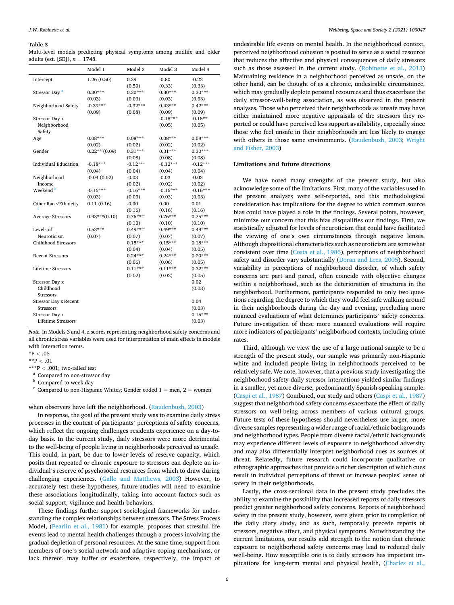#### <span id="page-7-0"></span>**Table 3**

|                                  |  | Multi-level models predicting physical symptoms among midlife and older |  |  |
|----------------------------------|--|-------------------------------------------------------------------------|--|--|
| adults (est. [SE]), $n = 1748$ . |  |                                                                         |  |  |

| $-0.22$<br>1.26(0.50)<br>0.39<br>$-0.80$<br>Intercept<br>(0.50)<br>(0.33)<br>(0.33)<br>$0.30***$<br>$0.30***$<br>$0.30***$<br>Stressor Day <sup>a</sup><br>$0.30***$<br>(0.03)<br>(0.03)<br>(0.03)<br>(0.03)<br>$-0.39***$<br>$-0.32***$<br>$0.43***$<br>$0.42***$<br>Neighborhood Safety<br>(0.09)<br>(0.08)<br>(0.09)<br>(0.09)<br>$-0.18***$<br>$-0.15**$<br>Stressor Day x<br>Neighborhood<br>(0.05)<br>(0.05)<br>Safety<br>$0.08***$<br>$0.08***$<br>$0.08***$<br>$0.08***$<br>Age<br>(0.02)<br>(0.02)<br>(0.02)<br>(0.02)<br>$0.31***$<br>$0.31***$<br>$0.30***$<br>Gender<br>$0.22**$ (0.09)<br>(0.08)<br>(0.08)<br>(0.08)<br><b>Individual Education</b><br>$-0.12***$<br>$-0.12***$<br>$-0.12***$<br>$-0.18***$<br>(0.04)<br>(0.04)<br>(0.04)<br>(0.04)<br>Neighborhood<br>$-0.04(0.02)$<br>-0.03<br>$-0.03$<br>$-0.03$<br>(0.02)<br>(0.02)<br>(0.02)<br>Income<br>Weekend <sup>b</sup><br>$-0.16***$<br>$-0.16***$<br>$-0.16***$<br>$-0.16***$<br>(0.03)<br>(0.03)<br>(0.03)<br>(0.03)<br>0.11(0.16)<br>$-0.00$<br>0.00<br>0.01<br>Other Race/Ethnicity<br>(0.16)<br>(0.16)<br>(0.16)<br>$0.76***$<br>$0.76***$<br>$0.75***$<br>$0.93***(0.10)$<br><b>Average Stressors</b><br>(0.10)<br>(0.10)<br>(0.10)<br>$0.49***$<br>$0.49***$<br>$0.49***$<br>Levels of<br>$0.53***$<br>Neuroticism<br>(0.07)<br>(0.07)<br>(0.07)<br>(0.07)<br>$0.18***$<br><b>Childhood Stressors</b><br>$0.15***$<br>$0.15***$<br>(0.04)<br>(0.04)<br>(0.05)<br>$0.24***$<br>$0.20***$<br><b>Recent Stressors</b><br>$0.24***$<br>(0.06)<br>(0.06)<br>(0.05)<br><b>Lifetime Stressors</b><br>$0.11***$<br>$0.11***$<br>$0.32***$<br>(0.02)<br>(0.02)<br>(0.05)<br>0.02<br>Stressor Day x |           | Model 1 | Model 2 | Model 3 | Model 4 |
|----------------------------------------------------------------------------------------------------------------------------------------------------------------------------------------------------------------------------------------------------------------------------------------------------------------------------------------------------------------------------------------------------------------------------------------------------------------------------------------------------------------------------------------------------------------------------------------------------------------------------------------------------------------------------------------------------------------------------------------------------------------------------------------------------------------------------------------------------------------------------------------------------------------------------------------------------------------------------------------------------------------------------------------------------------------------------------------------------------------------------------------------------------------------------------------------------------------------------------------------------------------------------------------------------------------------------------------------------------------------------------------------------------------------------------------------------------------------------------------------------------------------------------------------------------------------------------------------------------------------------------------------------------------------------|-----------|---------|---------|---------|---------|
|                                                                                                                                                                                                                                                                                                                                                                                                                                                                                                                                                                                                                                                                                                                                                                                                                                                                                                                                                                                                                                                                                                                                                                                                                                                                                                                                                                                                                                                                                                                                                                                                                                                                            |           |         |         |         |         |
|                                                                                                                                                                                                                                                                                                                                                                                                                                                                                                                                                                                                                                                                                                                                                                                                                                                                                                                                                                                                                                                                                                                                                                                                                                                                                                                                                                                                                                                                                                                                                                                                                                                                            |           |         |         |         |         |
|                                                                                                                                                                                                                                                                                                                                                                                                                                                                                                                                                                                                                                                                                                                                                                                                                                                                                                                                                                                                                                                                                                                                                                                                                                                                                                                                                                                                                                                                                                                                                                                                                                                                            |           |         |         |         |         |
|                                                                                                                                                                                                                                                                                                                                                                                                                                                                                                                                                                                                                                                                                                                                                                                                                                                                                                                                                                                                                                                                                                                                                                                                                                                                                                                                                                                                                                                                                                                                                                                                                                                                            |           |         |         |         |         |
|                                                                                                                                                                                                                                                                                                                                                                                                                                                                                                                                                                                                                                                                                                                                                                                                                                                                                                                                                                                                                                                                                                                                                                                                                                                                                                                                                                                                                                                                                                                                                                                                                                                                            |           |         |         |         |         |
|                                                                                                                                                                                                                                                                                                                                                                                                                                                                                                                                                                                                                                                                                                                                                                                                                                                                                                                                                                                                                                                                                                                                                                                                                                                                                                                                                                                                                                                                                                                                                                                                                                                                            |           |         |         |         |         |
|                                                                                                                                                                                                                                                                                                                                                                                                                                                                                                                                                                                                                                                                                                                                                                                                                                                                                                                                                                                                                                                                                                                                                                                                                                                                                                                                                                                                                                                                                                                                                                                                                                                                            |           |         |         |         |         |
|                                                                                                                                                                                                                                                                                                                                                                                                                                                                                                                                                                                                                                                                                                                                                                                                                                                                                                                                                                                                                                                                                                                                                                                                                                                                                                                                                                                                                                                                                                                                                                                                                                                                            |           |         |         |         |         |
|                                                                                                                                                                                                                                                                                                                                                                                                                                                                                                                                                                                                                                                                                                                                                                                                                                                                                                                                                                                                                                                                                                                                                                                                                                                                                                                                                                                                                                                                                                                                                                                                                                                                            |           |         |         |         |         |
|                                                                                                                                                                                                                                                                                                                                                                                                                                                                                                                                                                                                                                                                                                                                                                                                                                                                                                                                                                                                                                                                                                                                                                                                                                                                                                                                                                                                                                                                                                                                                                                                                                                                            |           |         |         |         |         |
|                                                                                                                                                                                                                                                                                                                                                                                                                                                                                                                                                                                                                                                                                                                                                                                                                                                                                                                                                                                                                                                                                                                                                                                                                                                                                                                                                                                                                                                                                                                                                                                                                                                                            |           |         |         |         |         |
|                                                                                                                                                                                                                                                                                                                                                                                                                                                                                                                                                                                                                                                                                                                                                                                                                                                                                                                                                                                                                                                                                                                                                                                                                                                                                                                                                                                                                                                                                                                                                                                                                                                                            |           |         |         |         |         |
|                                                                                                                                                                                                                                                                                                                                                                                                                                                                                                                                                                                                                                                                                                                                                                                                                                                                                                                                                                                                                                                                                                                                                                                                                                                                                                                                                                                                                                                                                                                                                                                                                                                                            |           |         |         |         |         |
|                                                                                                                                                                                                                                                                                                                                                                                                                                                                                                                                                                                                                                                                                                                                                                                                                                                                                                                                                                                                                                                                                                                                                                                                                                                                                                                                                                                                                                                                                                                                                                                                                                                                            |           |         |         |         |         |
|                                                                                                                                                                                                                                                                                                                                                                                                                                                                                                                                                                                                                                                                                                                                                                                                                                                                                                                                                                                                                                                                                                                                                                                                                                                                                                                                                                                                                                                                                                                                                                                                                                                                            |           |         |         |         |         |
|                                                                                                                                                                                                                                                                                                                                                                                                                                                                                                                                                                                                                                                                                                                                                                                                                                                                                                                                                                                                                                                                                                                                                                                                                                                                                                                                                                                                                                                                                                                                                                                                                                                                            |           |         |         |         |         |
|                                                                                                                                                                                                                                                                                                                                                                                                                                                                                                                                                                                                                                                                                                                                                                                                                                                                                                                                                                                                                                                                                                                                                                                                                                                                                                                                                                                                                                                                                                                                                                                                                                                                            |           |         |         |         |         |
|                                                                                                                                                                                                                                                                                                                                                                                                                                                                                                                                                                                                                                                                                                                                                                                                                                                                                                                                                                                                                                                                                                                                                                                                                                                                                                                                                                                                                                                                                                                                                                                                                                                                            |           |         |         |         |         |
|                                                                                                                                                                                                                                                                                                                                                                                                                                                                                                                                                                                                                                                                                                                                                                                                                                                                                                                                                                                                                                                                                                                                                                                                                                                                                                                                                                                                                                                                                                                                                                                                                                                                            |           |         |         |         |         |
|                                                                                                                                                                                                                                                                                                                                                                                                                                                                                                                                                                                                                                                                                                                                                                                                                                                                                                                                                                                                                                                                                                                                                                                                                                                                                                                                                                                                                                                                                                                                                                                                                                                                            |           |         |         |         |         |
|                                                                                                                                                                                                                                                                                                                                                                                                                                                                                                                                                                                                                                                                                                                                                                                                                                                                                                                                                                                                                                                                                                                                                                                                                                                                                                                                                                                                                                                                                                                                                                                                                                                                            |           |         |         |         |         |
|                                                                                                                                                                                                                                                                                                                                                                                                                                                                                                                                                                                                                                                                                                                                                                                                                                                                                                                                                                                                                                                                                                                                                                                                                                                                                                                                                                                                                                                                                                                                                                                                                                                                            |           |         |         |         |         |
|                                                                                                                                                                                                                                                                                                                                                                                                                                                                                                                                                                                                                                                                                                                                                                                                                                                                                                                                                                                                                                                                                                                                                                                                                                                                                                                                                                                                                                                                                                                                                                                                                                                                            |           |         |         |         |         |
|                                                                                                                                                                                                                                                                                                                                                                                                                                                                                                                                                                                                                                                                                                                                                                                                                                                                                                                                                                                                                                                                                                                                                                                                                                                                                                                                                                                                                                                                                                                                                                                                                                                                            |           |         |         |         |         |
|                                                                                                                                                                                                                                                                                                                                                                                                                                                                                                                                                                                                                                                                                                                                                                                                                                                                                                                                                                                                                                                                                                                                                                                                                                                                                                                                                                                                                                                                                                                                                                                                                                                                            |           |         |         |         |         |
|                                                                                                                                                                                                                                                                                                                                                                                                                                                                                                                                                                                                                                                                                                                                                                                                                                                                                                                                                                                                                                                                                                                                                                                                                                                                                                                                                                                                                                                                                                                                                                                                                                                                            |           |         |         |         |         |
|                                                                                                                                                                                                                                                                                                                                                                                                                                                                                                                                                                                                                                                                                                                                                                                                                                                                                                                                                                                                                                                                                                                                                                                                                                                                                                                                                                                                                                                                                                                                                                                                                                                                            |           |         |         |         |         |
|                                                                                                                                                                                                                                                                                                                                                                                                                                                                                                                                                                                                                                                                                                                                                                                                                                                                                                                                                                                                                                                                                                                                                                                                                                                                                                                                                                                                                                                                                                                                                                                                                                                                            |           |         |         |         |         |
|                                                                                                                                                                                                                                                                                                                                                                                                                                                                                                                                                                                                                                                                                                                                                                                                                                                                                                                                                                                                                                                                                                                                                                                                                                                                                                                                                                                                                                                                                                                                                                                                                                                                            |           |         |         |         |         |
|                                                                                                                                                                                                                                                                                                                                                                                                                                                                                                                                                                                                                                                                                                                                                                                                                                                                                                                                                                                                                                                                                                                                                                                                                                                                                                                                                                                                                                                                                                                                                                                                                                                                            |           |         |         |         |         |
|                                                                                                                                                                                                                                                                                                                                                                                                                                                                                                                                                                                                                                                                                                                                                                                                                                                                                                                                                                                                                                                                                                                                                                                                                                                                                                                                                                                                                                                                                                                                                                                                                                                                            |           |         |         |         |         |
|                                                                                                                                                                                                                                                                                                                                                                                                                                                                                                                                                                                                                                                                                                                                                                                                                                                                                                                                                                                                                                                                                                                                                                                                                                                                                                                                                                                                                                                                                                                                                                                                                                                                            | Childhood |         |         |         | (0.03)  |
| <b>Stressors</b>                                                                                                                                                                                                                                                                                                                                                                                                                                                                                                                                                                                                                                                                                                                                                                                                                                                                                                                                                                                                                                                                                                                                                                                                                                                                                                                                                                                                                                                                                                                                                                                                                                                           |           |         |         |         |         |
| <b>Stressor Day x Recent</b><br>0.04                                                                                                                                                                                                                                                                                                                                                                                                                                                                                                                                                                                                                                                                                                                                                                                                                                                                                                                                                                                                                                                                                                                                                                                                                                                                                                                                                                                                                                                                                                                                                                                                                                       |           |         |         |         |         |
| <b>Stressors</b><br>(0.03)                                                                                                                                                                                                                                                                                                                                                                                                                                                                                                                                                                                                                                                                                                                                                                                                                                                                                                                                                                                                                                                                                                                                                                                                                                                                                                                                                                                                                                                                                                                                                                                                                                                 |           |         |         |         |         |
| $0.15***$<br>Stressor Day x                                                                                                                                                                                                                                                                                                                                                                                                                                                                                                                                                                                                                                                                                                                                                                                                                                                                                                                                                                                                                                                                                                                                                                                                                                                                                                                                                                                                                                                                                                                                                                                                                                                |           |         |         |         |         |
| Lifetime Stressors<br>(0.03)                                                                                                                                                                                                                                                                                                                                                                                                                                                                                                                                                                                                                                                                                                                                                                                                                                                                                                                                                                                                                                                                                                                                                                                                                                                                                                                                                                                                                                                                                                                                                                                                                                               |           |         |         |         |         |

*Note*. In Models 3 and 4, z scores representing neighborhood safety concerns and all chronic stress variables were used for interpretation of main effects in models with interaction terms.

 $*P < .05$ 

\*\*P *<* .01

\*\*\*P < .001; two-tailed test<br><sup>a</sup> Compared to non-stressor day<br><sup>b</sup> Compared to week day<br><sup>c</sup> Compared to non-Hispanic Whites; Gender coded 1 = men, 2 = women

#### when observers have left the neighborhood. ([Raudenbush, 2003\)](#page-8-0)

In response, the goal of the present study was to examine daily stress processes in the context of participants' perceptions of safety concerns, which reflect the ongoing challenges residents experience on a day-today basis. In the current study, daily stressors were more detrimental to the well-being of people living in neighborhoods perceived as unsafe. This could, in part, be due to lower levels of reserve capacity, which posits that repeated or chronic exposure to stressors can deplete an individual's reserve of psychosocial resources from which to draw during challenging experiences. [\(Gallo and Matthews, 2003](#page-9-0)) However, to accurately test these hypotheses, future studies will need to examine these associations longitudinally, taking into account factors such as social support, vigilance and health behaviors.

These findings further support sociological frameworks for understanding the complex relationships between stressors. The Stress Process Model, [\(Pearlin et al., 1981\)](#page-9-0) for example, proposes that stressful life events lead to mental health challenges through a process involving the gradual depletion of personal resources. At the same time, support from members of one's social network and adaptive coping mechanisms, or lack thereof, may buffer or exacerbate, respectively, the impact of

undesirable life events on mental health. In the neighborhood context, perceived neighborhood cohesion is posited to serve as a social resource that reduces the affective and physical consequences of daily stressors such as those assessed in the current study. [\(Robinette et al., 2013\)](#page-8-0) Maintaining residence in a neighborhood perceived as unsafe, on the other hand, can be thought of as a chronic, undesirable circumstance, which may gradually deplete personal resources and thus exacerbate the daily stressor-well-being association, as was observed in the present analyses. Those who perceived their neighborhoods as unsafe may have either maintained more negative appraisals of the stressors they reported or could have perceived less support availability, especially since those who feel unsafe in their neighborhoods are less likely to engage with others in those same environments. ([Raudenbush, 2003;](#page-8-0) [Wright](#page-8-0)  [and Fisher, 2003](#page-8-0))

#### **Limitations and future directions**

We have noted many strengths of the present study, but also acknowledge some of the limitations. First, many of the variables used in the present analyses were self-reported, and this methodological consideration has implications for the degree to which common source bias could have played a role in the findings. Several points, however, minimize our concern that this bias disqualifies our findings. First, we statistically adjusted for levels of neuroticism that could have facilitated the viewing of one's own circumstances through negative lenses. Although dispositional characteristics such as neuroticism are somewhat consistent over time [\(Costa et al., 1986](#page-9-0)), perceptions of neighborhood safety and disorder vary substantially [\(Doran and Lees, 2005\)](#page-9-0). Second, variability in perceptions of neighborhood disorder, of which safety concerns are part and parcel, often coincide with objective changes within a neighborhood, such as the deterioration of structures in the neighborhood. Furthermore, participants responded to only two questions regarding the degree to which they would feel safe walking around in their neighborhoods during the day and evening, precluding more nuanced evaluations of what determines participants' safety concerns. Future investigation of these more nuanced evaluations will require more indicators of participants' neighborhood contexts, including crime rates.

Third, although we view the use of a large national sample to be a strength of the present study, our sample was primarily non-Hispanic white and included people living in neighborhoods perceived to be relatively safe. We note, however, that a previous study investigating the neighborhood safety-daily stressor interactions yielded similar findings in a smaller, yet more diverse, predominantly Spanish-speaking sample. ([Caspi et al., 1987\)](#page-9-0) Combined, our study and others ([Caspi et al., 1987\)](#page-9-0) suggest that neighborhood safety concerns exacerbate the effect of daily stressors on well-being across members of various cultural groups. Future tests of these hypotheses should nevertheless use larger, more diverse samples representing a wider range of racial/ethnic backgrounds and neighborhood types. People from diverse racial/ethnic backgrounds may experience different levels of exposure to neighborhood adversity and may also differentially interpret neighborhood cues as sources of threat. Relatedly, future research could incorporate qualitative or ethnographic approaches that provide a richer description of which cues result in individual perceptions of threat or increase peoples' sense of safety in their neighborhoods.

Lastly, the cross-sectional data in the present study precludes the ability to examine the possibility that increased reports of daily stressors predict greater neighborhood safety concerns. Reports of neighborhood safety in the present study, however, were given prior to completion of the daily diary study, and as such, temporally precede reports of stressors, negative affect, and physical symptoms. Notwithstanding the current limitations, our results add strength to the notion that chronic exposure to neighborhood safety concerns may lead to reduced daily well-being. How susceptible one is to daily stressors has important implications for long-term mental and physical health, [\(Charles et al.,](#page-8-0)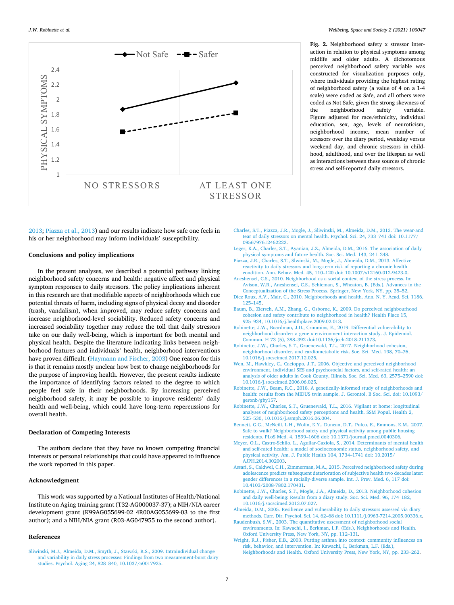<span id="page-8-0"></span>*J.W. Robinette et al.* 



2013; Piazza et al., 2013) and our results indicate how safe one feels in his or her neighborhood may inform individuals' susceptibility.

#### **Conclusions and policy implications**

In the present analyses, we described a potential pathway linking neighborhood safety concerns and health: negative affect and physical symptom responses to daily stressors. The policy implications inherent in this research are that modifiable aspects of neighborhoods which cue potential threats of harm, including signs of physical decay and disorder (trash, vandalism), when improved, may reduce safety concerns and increase neighborhood-level sociability. Reduced safety concerns and increased sociability together may reduce the toll that daily stressors take on our daily well-being, which is important for both mental and physical health. Despite the literature indicating links between neighborhood features and individuals' health, neighborhood interventions have proven difficult. [\(Haymann and Fischer, 2003](#page-9-0)) One reason for this is that it remains mostly unclear how best to change neighborhoods for the purpose of improving health. However, the present results indicate the importance of identifying factors related to the degree to which people feel safe in their neighborhoods. By increasing perceived neighborhood safety, it may be possible to improve residents' daily health and well-being, which could have long-term repercussions for overall health.

#### **Declaration of Competing Interests**

The authors declare that they have no known competing financial interests or personal relationships that could have appeared to influence the work reported in this paper.

#### **Acknowledgment**

This work was supported by a National Institutes of Health/National Institute on Aging training grant (T32-AG000037-37); a NIH/NIA career development grant (K99AG055699-02 4R00AG055699-03 to the first author); and a NIH/NIA grant (R03-AG047955 to the second author).

#### **References**

[Sliwinski, M.J., Almeida, D.M., Smyth, J., Stawski, R.S., 2009. Intraindividual change](http://refhub.elsevier.com/S2666-5581(21)00020-8/sbref0001)  [and variability in daily stress processes: Findings from two measurement-burst dairy](http://refhub.elsevier.com/S2666-5581(21)00020-8/sbref0001)  [studies. Psychol. Aging 24, 828](http://refhub.elsevier.com/S2666-5581(21)00020-8/sbref0001)–840, 10.1037/a0017925.

**Fig. 2.** Neighborhood safety x stressor interaction in relation to physical symptoms among midlife and older adults. A dichotomous perceived neighborhood safety variable was constructed for visualization purposes only, where individuals providing the highest rating of neighborhood safety (a value of 4 on a 1-4 scale) were coded as Safe, and all others were coded as Not Safe, given the strong skewness of the neighborhood safety variable. Figure adjusted for race/ethnicity, individual education, sex, age, levels of neuroticism, neighborhood income, mean number of stressors over the diary period, weekday versus weekend day, and chronic stressors in childhood, adulthood, and over the lifespan as well as interactions between these sources of chronic stress and self-reported daily stressors.

- [Charles, S.T., Piazza, J.R., Mogle, J., Sliwinski, M., Almeida, D.M., 2013. The wear-and](http://refhub.elsevier.com/S2666-5581(21)00020-8/sbref0002)  [tear of daily stressors on mental health. Psychol. Sci. 24, 733](http://refhub.elsevier.com/S2666-5581(21)00020-8/sbref0002)–741 doi: 10.1177/ [0956797612462222.](http://refhub.elsevier.com/S2666-5581(21)00020-8/sbref0002)
- [Leger, K.A., Charles, S.T., Ayanian, J.Z., Almeida, D.M., 2016. The association of daily](http://refhub.elsevier.com/S2666-5581(21)00020-8/sbref0003)  [physical symptoms and future health. Soc. Sci. Med. 143, 241](http://refhub.elsevier.com/S2666-5581(21)00020-8/sbref0003)–248.
- [Piazza, J.R., Charles, S.T., Slwinski, M., Mogle, J., Almeida, D.M., 2013. Affective](http://refhub.elsevier.com/S2666-5581(21)00020-8/sbref0004)  [reactivity to daily stressors and long-term risk of reporting a chronic health](http://refhub.elsevier.com/S2666-5581(21)00020-8/sbref0004)  condition. Ann. Behav. Med. 45, 110–[120 doi: 10.1007/s12160-012-9423-0.](http://refhub.elsevier.com/S2666-5581(21)00020-8/sbref0004)
- [Aneshensel, C.S., 2010. Neighborhood as a social context of the stress process. In:](http://refhub.elsevier.com/S2666-5581(21)00020-8/sbref0005) [Avison, W.R., Aneshensel, C.S., Schieman, S., Wheaton, B. \(Eds.\), Advances in the](http://refhub.elsevier.com/S2666-5581(21)00020-8/sbref0005) [Conceptualization of the Stress Process. Springer, New York, NY, pp. 35](http://refhub.elsevier.com/S2666-5581(21)00020-8/sbref0005)–52.
- [Diez Roux, A.V., Mair, C., 2010. Neighborhoods and health. Ann. N. Y. Acad. Sci. 1186,](http://refhub.elsevier.com/S2666-5581(21)00020-8/sbref0006)  125–[145](http://refhub.elsevier.com/S2666-5581(21)00020-8/sbref0006).
- [Baum, B., Ziersch, A.M., Zhang, G., Osborne, K., 2009. Do perceived neighbourhood](http://refhub.elsevier.com/S2666-5581(21)00020-8/sbref0007) [cohesion and safety contribute to neighborhood in health? Health Place 15,](http://refhub.elsevier.com/S2666-5581(21)00020-8/sbref0007)  925–[934, 10.1016/j.healthplace.2009.02.013](http://refhub.elsevier.com/S2666-5581(21)00020-8/sbref0007).
- [Robinette, J.W., Boardman, J.D., Crimmins, E., 2019. Differential vulnerability to](http://refhub.elsevier.com/S2666-5581(21)00020-8/sbref0008) [neighborhood disorder: a gene x environment interaction study. J. Epidemiol.](http://refhub.elsevier.com/S2666-5581(21)00020-8/sbref0008)  Commun. H 73 (5), 388–[392 doi:10.1136/jech-2018-211373](http://refhub.elsevier.com/S2666-5581(21)00020-8/sbref0008).
- [Robinette, J.W., Charles, S.T., Gruenewald, T.L., 2017. Neighborhood cohesion,](http://refhub.elsevier.com/S2666-5581(21)00020-8/sbref0009)  [neighborhood disorder, and cardiometabolic risk. Soc. Sci. Med. 198, 70](http://refhub.elsevier.com/S2666-5581(21)00020-8/sbref0009)–76, [10.1016/j.socscimed.2017.12.025.](http://refhub.elsevier.com/S2666-5581(21)00020-8/sbref0009)
- [Wen, M., Hawkley, C., Cacioppo, J.T., 2006. Objective and perceived neighborhood](http://refhub.elsevier.com/S2666-5581(21)00020-8/sbref0010)  [environment, individual SES and psychosocial factors, and self-rated health: an](http://refhub.elsevier.com/S2666-5581(21)00020-8/sbref0010) [analysis of older adults in Cook County, Illinois. Soc. Sci. Med. 63, 2575](http://refhub.elsevier.com/S2666-5581(21)00020-8/sbref0010)–2590 doi: [10.1016/j.socscimed.2006.06.025.](http://refhub.elsevier.com/S2666-5581(21)00020-8/sbref0010)
- [Robinette, J.W., Beam, R.C., 2018. A genetically-informed study of neighborhoods and](http://refhub.elsevier.com/S2666-5581(21)00020-8/sbref0011) [health: results from the MIDUS twin sample. J. Gerontol. B Soc. Sci. doi: 10.1093/](http://refhub.elsevier.com/S2666-5581(21)00020-8/sbref0011)  [geronb/gby157](http://refhub.elsevier.com/S2666-5581(21)00020-8/sbref0011).
- [Robinette, J.W., Charles, S.T., Gruenewald, T.L., 2016. Vigilant at home: longitudinal](http://refhub.elsevier.com/S2666-5581(21)00020-8/sbref0012)  [analyses of neighborhood safety perceptions and health. SSM Popul. Health 2,](http://refhub.elsevier.com/S2666-5581(21)00020-8/sbref0012)  525–[530, 10.1016/j.ssmph.2016.06.004.](http://refhub.elsevier.com/S2666-5581(21)00020-8/sbref0012)
- [Bennett, G.G., McNeill, L.H., Wolin, K.Y., Duncan, D.T., Puleo, E., Emmons, K.M., 2007.](http://refhub.elsevier.com/S2666-5581(21)00020-8/sbref0013)  [Safe to walk? Neighborhood safety and physical activity among public housing](http://refhub.elsevier.com/S2666-5581(21)00020-8/sbref0013) residents. PLoS Med. 4, 1599–[1606 doi: 10.1371/journal.pmed.0040306](http://refhub.elsevier.com/S2666-5581(21)00020-8/sbref0013).
- [Meyer, O.L., Castro-Schilo, L., Aguilar-Gaxiola, S., 2014. Determinants of mental health](http://refhub.elsevier.com/S2666-5581(21)00020-8/sbref0014)  [and self-rated health: a model of socioeconomic status, neighborhood safety, and](http://refhub.elsevier.com/S2666-5581(21)00020-8/sbref0014)  [physical activity. Am. J. Public Health 104, 1734](http://refhub.elsevier.com/S2666-5581(21)00020-8/sbref0014)–1741 doi: 10.2015/ [AJPH.2014.302003.](http://refhub.elsevier.com/S2666-5581(21)00020-8/sbref0014)
- [Assari, S., Caldwel, C.H., Zimmerman, M.A., 2015. Perceived neighborhood safety during](http://refhub.elsevier.com/S2666-5581(21)00020-8/sbref0015)  [adolescence predicts subsequent deterioration of subjective health two decades later:](http://refhub.elsevier.com/S2666-5581(21)00020-8/sbref0015)  [gender differences in a racially-diverse sample. Int. J. Prev. Med. 6, 117 doi:](http://refhub.elsevier.com/S2666-5581(21)00020-8/sbref0015)  [10.4103/2008-7802.170431](http://refhub.elsevier.com/S2666-5581(21)00020-8/sbref0015).
- [Robinette, J.W., Charles, S.T., Mogle, J.A., Almeida, D., 2013. Neighborhood cohesion](http://refhub.elsevier.com/S2666-5581(21)00020-8/sbref0016) [and daily well-being: Results from a diary study. Soc. Sci. Med. 96, 174](http://refhub.elsevier.com/S2666-5581(21)00020-8/sbref0016)–182, [10.1016/j.socscimed.2013.07.027.](http://refhub.elsevier.com/S2666-5581(21)00020-8/sbref0016)
- [Almeida, D.M., 2005. Resilience and vulnerability to daily stressors assessed via diary](http://refhub.elsevier.com/S2666-5581(21)00020-8/sbref0017)  methods. Curr. Dir. Psychol. Sci. 14, 62–[68 doi: 10.1111/j.0963-7214.2005.00336.x.](http://refhub.elsevier.com/S2666-5581(21)00020-8/sbref0017)
- [Raudenbush, S.W., 2003. The quantitative assessment of neighborhood social](http://refhub.elsevier.com/S2666-5581(21)00020-8/sbref0018) [environments. In: Kawachi, I., Berkman, L.F. \(Eds.\), Neighborhoods and Health.](http://refhub.elsevier.com/S2666-5581(21)00020-8/sbref0018)  [Oxford University Press, New York, NY, pp. 112](http://refhub.elsevier.com/S2666-5581(21)00020-8/sbref0018)–131.
- [Wright, R.J., Fisher, E.B., 2003. Putting asthma into context: community influences on](http://refhub.elsevier.com/S2666-5581(21)00020-8/sbref0019) [risk, behavior, and intervention. In: Kawachi, I., Berkman, L.F. \(Eds.\),](http://refhub.elsevier.com/S2666-5581(21)00020-8/sbref0019)  [Neighborhoods and Health. Oxford University Press, New York, NY, pp. 233](http://refhub.elsevier.com/S2666-5581(21)00020-8/sbref0019)–262.